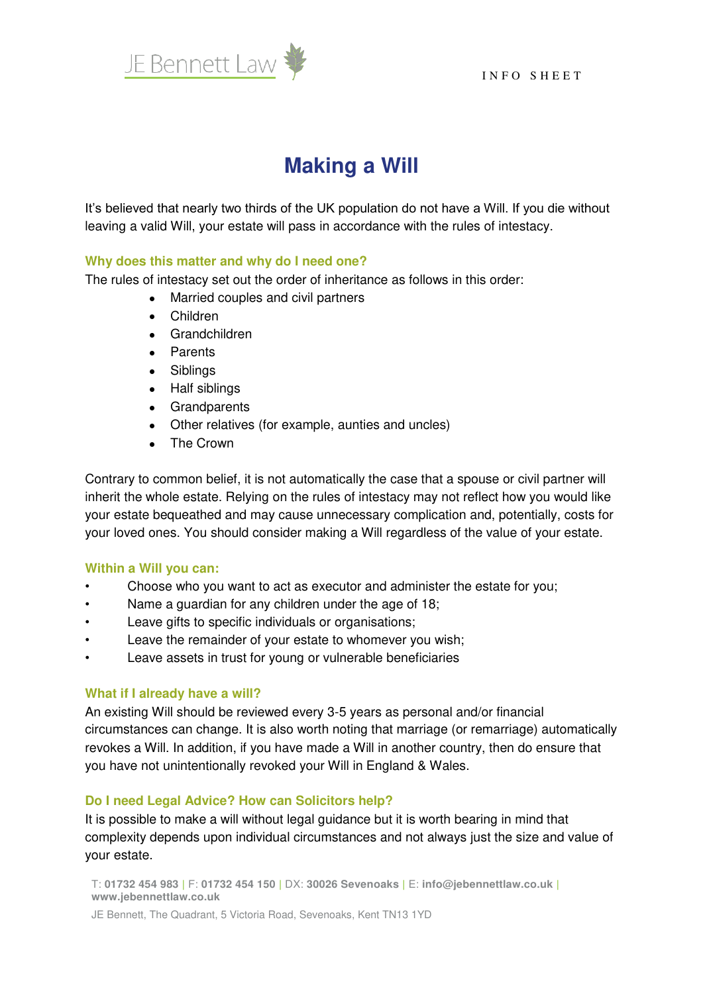

# **Making a Will**

It's believed that nearly two thirds of the UK population do not have a Will. If you die without leaving a valid Will, your estate will pass in accordance with the rules of intestacy.

## **Why does this matter and why do I need one?**

The rules of intestacy set out the order of inheritance as follows in this order:

- Married couples and civil partners
- Children
- Grandchildren
- Parents
- Siblings
- Half siblings
- Grandparents
- Other relatives (for example, aunties and uncles)
- The Crown

Contrary to common belief, it is not automatically the case that a spouse or civil partner will inherit the whole estate. Relying on the rules of intestacy may not reflect how you would like your estate bequeathed and may cause unnecessary complication and, potentially, costs for your loved ones. You should consider making a Will regardless of the value of your estate.

### **Within a Will you can:**

- Choose who you want to act as executor and administer the estate for you;
- Name a guardian for any children under the age of 18;
- Leave gifts to specific individuals or organisations;
- Leave the remainder of your estate to whomever you wish;
- Leave assets in trust for young or vulnerable beneficiaries

### **What if I already have a will?**

An existing Will should be reviewed every 3-5 years as personal and/or financial circumstances can change. It is also worth noting that marriage (or remarriage) automatically revokes a Will. In addition, if you have made a Will in another country, then do ensure that you have not unintentionally revoked your Will in England & Wales.

### **Do I need Legal Advice? How can Solicitors help?**

It is possible to make a will without legal guidance but it is worth bearing in mind that complexity depends upon individual circumstances and not always just the size and value of your estate.

T: **01732 454 983 |** F: **01732 454 150 |** DX: **30026 Sevenoaks |** E: **info@jebennettlaw.co.uk | www.jebennettlaw.co.uk**

JE Bennett, The Quadrant, 5 Victoria Road, Sevenoaks, Kent TN13 1YD